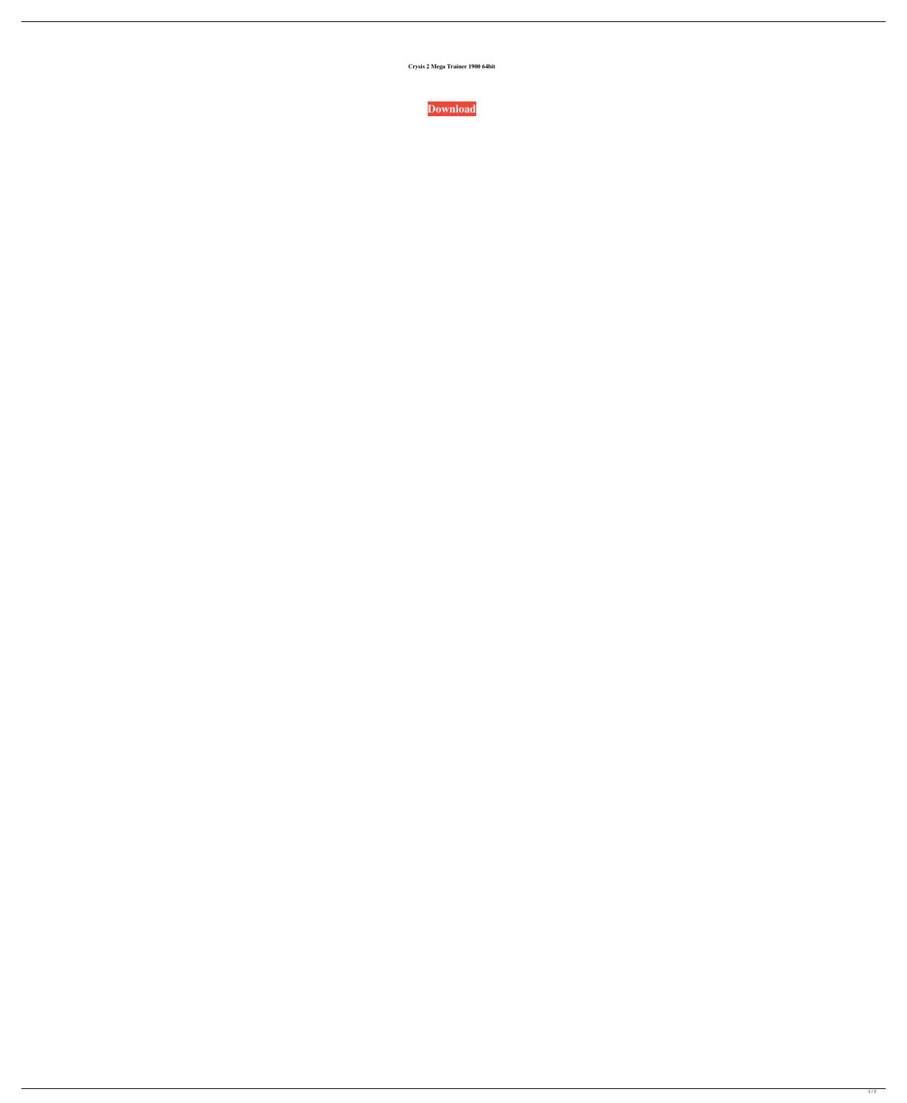**Crysis 2 Mega Trainer 1900 64bit**